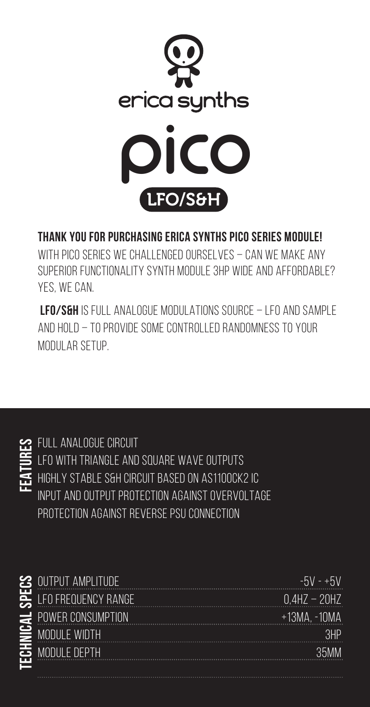

## **Thank you for purchasing Erica Synths Pico Series module!**

WITH PICO SERIES WE CHALLENGED OURSELVES – CAN WE MAKE ANY superior functionality synth module 3HP wide and affordable? Yes, we can.

 **LFO/S&H** is full analogue modulations source – LFO and Sample AND HOLD – TO PROVIDE SOME CONTROLLED RANDOMNESS TO YOUR modular setup.



Full analogue circuit LFO with triangle and square wave outputs Highly stable S&H circuit based on AS1100CK2 IC INPUT AND OUTPUT PROTECTION AGAINST OVERVOLTAGE Protection against reverse PSU connection

| <b>3 OUTPUT AMPLITUDE</b>    | $-5V - +5V$       |
|------------------------------|-------------------|
| $\equiv$ LFO FREQUENCY RANGE | $0.4$ HZ $-$ 20HZ |
| $\pm$ POWER CONSUMPTION      | $+13MA. -10MA$    |
| $\geq$ module width          | 3HP               |
| <b>5</b> MODULE DEPTH        | 35MM              |
|                              |                   |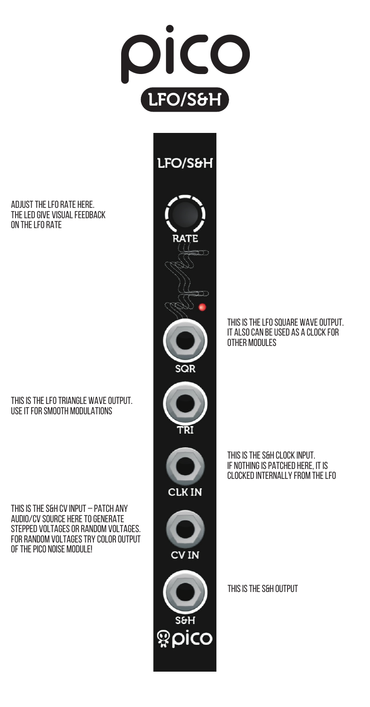

ADJUST THE LFO RATE HERE. The LED give visual feedback ON THE LFO RATE

## This is the LFO triangle wave output. Use it for smooth modulations

This is the S&H CV input – patch any audio/CV source here to generate stepped voltages or random voltages. FOR RANDOM VOLTAGES TRY COLOR OUTPUT of the Pico NOISE module!



THIS IS THE LFO SOUARE WAVE OUTPUT. It also can be used as a clock for other modules

This is the S&H clock input. If nothing is patched here, it is clocked internally from the LFO

This is the S&H output